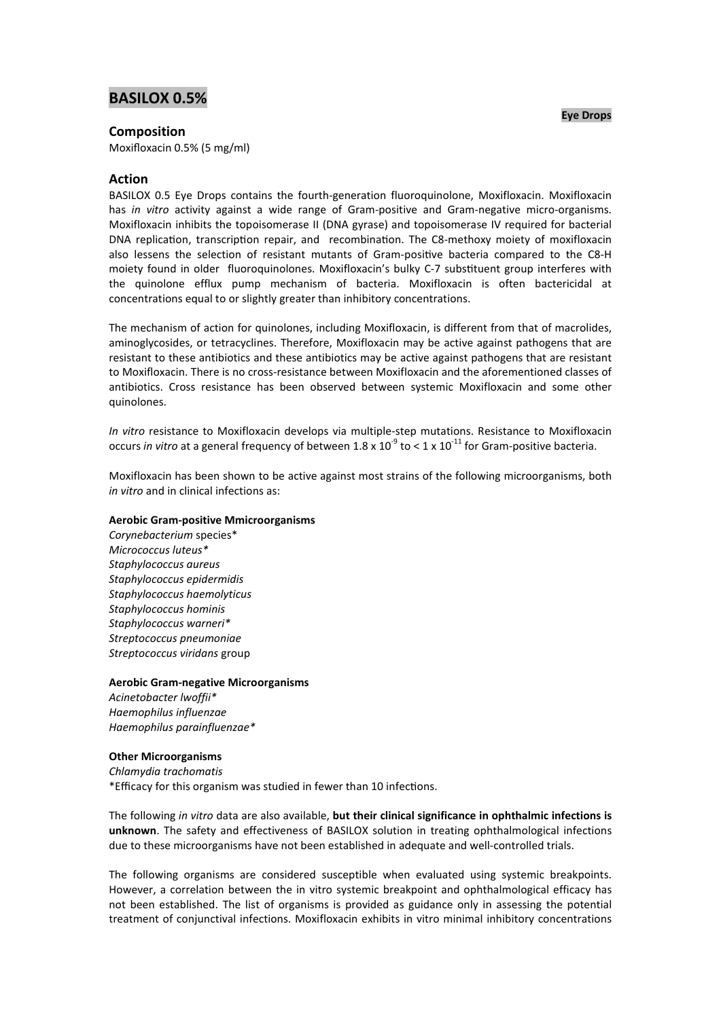# **BASILOX 0.5%**

# **Composition**

Moxifloxacin 0.5% (5 mg/ml)

# **Action**

BASILOX 0.5 Eye Drops contains the fourth-generation fluoroquinolone, Moxifloxacin. Moxifloxacin has *in vitro* activity against a wide range of Gram-positive and Gram-negative micro-organisms. Moxifloxacin inhibits the topoisomerase II (DNA gyrase) and topoisomerase IV required for bacterial DNA replication, transcription repair, and recombination. The C8-methoxy moiety of moxifloxacin also lessens the selection of resistant mutants of Gram-positive bacteria compared to the C8-H moiety found in older fluoroquinolones. Moxifloxacin's bulky C-7 substituent group interferes with the quinolone efflux pump mechanism of bacteria. Moxifloxacin is often bactericidal at concentrations equal to or slightly greater than inhibitory concentrations.

The mechanism of action for quinolones, including Moxifloxacin, is different from that of macrolides, aminoglycosides, or tetracyclines. Therefore, Moxifloxacin may be active against pathogens that are resistant to these antibiotics and these antibiotics may be active against pathogens that are resistant to Moxifloxacin. There is no cross-resistance between Moxifloxacin and the aforementioned classes of antibiotics. Cross resistance has been observed between systemic Moxifloxacin and some other quinolones.

*In vitro* resistance to Moxifloxacin develops via multiple-step mutations. Resistance to Moxifloxacin occurs *in vitro* at a general frequency of between 1.8 x 10<sup>-9</sup> to < 1 x 10<sup>-11</sup> for Gram-positive bacteria.

Moxifloxacin has been shown to be active against most strains of the following microorganisms, both *in vitro* and in clinical infections as:

### **Aerobic Gram-positive Mmicroorganisms**

*Corynebacterium* species\* *Micrococcus luteus\* Staphylococcus aureus Staphylococcus epidermidis Staphylococcus haemolyticus Staphylococcus hominis Staphylococcus warneri\* Streptococcus pneumoniae Streptococcus viridans* group

#### **Aerobic Gram-negative Microorganisms**

*Acinetobacter lwoffii\* Haemophilus influenzae Haemophilus parainfluenzae\**

#### **Other Microorganisms**

*Chlamydia trachomatis* \*Efficacy for this organism was studied in fewer than 10 infections.

The following *in vitro* data are also available, **but their clinical significance in ophthalmic infections is unknown**. The safety and effectiveness of BASILOX solution in treating ophthalmological infections due to these microorganisms have not been established in adequate and well-controlled trials.

The following organisms are considered susceptible when evaluated using systemic breakpoints. However, a correlation between the in vitro systemic breakpoint and ophthalmological efficacy has not been established. The list of organisms is provided as guidance only in assessing the potential treatment of conjunctival infections. Moxifloxacin exhibits in vitro minimal inhibitory concentrations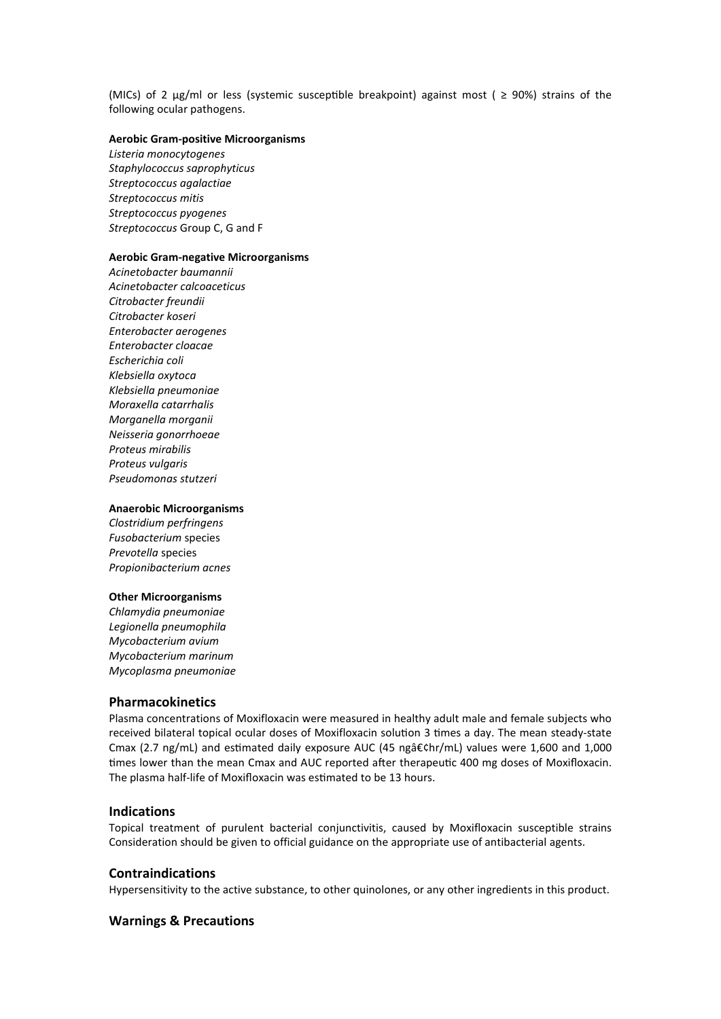(MICs) of 2  $\mu$ g/ml or less (systemic susceptible breakpoint) against most (  $\geq$  90%) strains of the following ocular pathogens.

## **Aerobic Gram-positive Microorganisms**

*Listeria monocytogenes Staphylococcus saprophyticus Streptococcus agalactiae Streptococcus mitis Streptococcus pyogenes Streptococcus* Group C, G and F

#### **Aerobic Gram-negative Microorganisms**

*Acinetobacter baumannii Acinetobacter calcoaceticus Citrobacter freundii Citrobacter koseri Enterobacter aerogenes Enterobacter cloacae Escherichia coli Klebsiella oxytoca Klebsiella pneumoniae Moraxella catarrhalis Morganella morganii Neisseria gonorrhoeae Proteus mirabilis Proteus vulgaris Pseudomonas stutzeri*

## **Anaerobic Microorganisms**

*Clostridium perfringens Fusobacterium* species *Prevotella* species *Propionibacterium acnes*

#### **Other Microorganisms**

*Chlamydia pneumoniae Legionella pneumophila Mycobacterium avium Mycobacterium marinum Mycoplasma pneumoniae*

## **Pharmacokinetics**

Plasma concentrations of Moxifloxacin were measured in healthy adult male and female subjects who received bilateral topical ocular doses of Moxifloxacin solution 3 times a day. The mean steady-state Cmax (2.7 ng/mL) and estimated daily exposure AUC (45 ngâ $\epsilon$ chr/mL) values were 1,600 and 1,000 times lower than the mean Cmax and AUC reported after therapeutic 400 mg doses of Moxifloxacin. The plasma half-life of Moxifloxacin was estimated to be 13 hours.

#### **Indications**

Topical treatment of purulent bacterial conjunctivitis, caused by Moxifloxacin susceptible strains Consideration should be given to official guidance on the appropriate use of antibacterial agents.

## **Contraindications**

Hypersensitivity to the active substance, to other quinolones, or any other ingredients in this product.

## **Warnings & Precautions**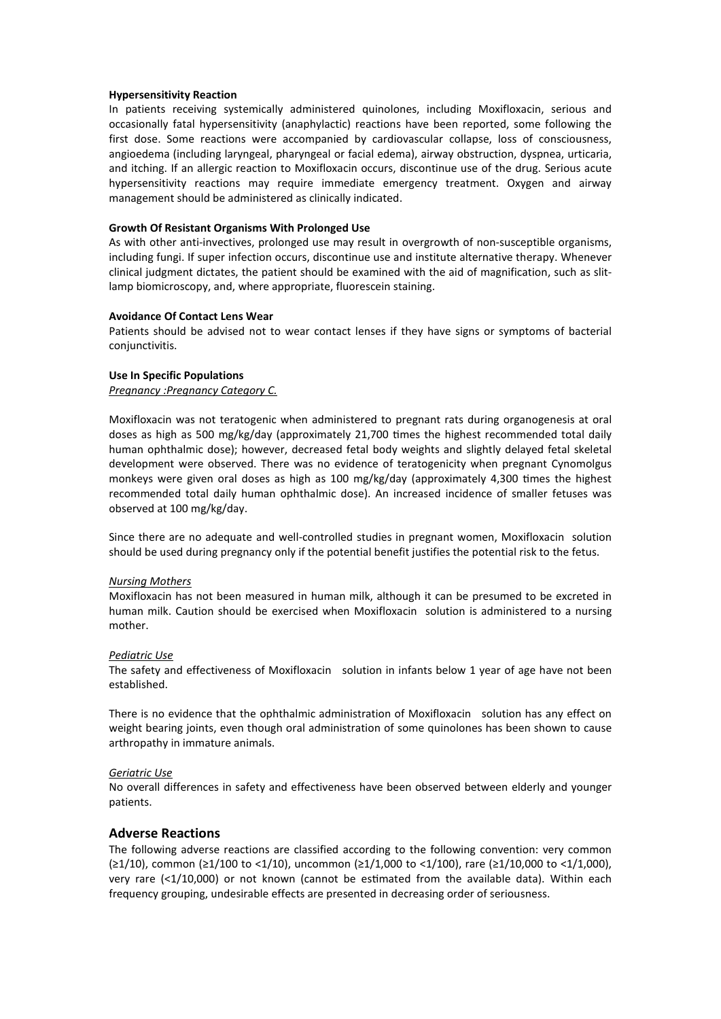### **Hypersensitivity Reaction**

In patients receiving systemically administered quinolones, including Moxifloxacin, serious and occasionally fatal hypersensitivity (anaphylactic) reactions have been reported, some following the first dose. Some reactions were accompanied by cardiovascular collapse, loss of consciousness, angioedema (including laryngeal, pharyngeal or facial edema), airway obstruction, dyspnea, urticaria, and itching. If an allergic reaction to Moxifloxacin occurs, discontinue use of the drug. Serious acute hypersensitivity reactions may require immediate emergency treatment. Oxygen and airway management should be administered as clinically indicated.

### **Growth Of Resistant Organisms With Prolonged Use**

As with other anti-invectives, prolonged use may result in overgrowth of non-susceptible organisms, including fungi. If super infection occurs, discontinue use and institute alternative therapy. Whenever clinical judgment dictates, the patient should be examined with the aid of magnification, such as slitlamp biomicroscopy, and, where appropriate, fluorescein staining.

#### **Avoidance Of Contact Lens Wear**

Patients should be advised not to wear contact lenses if they have signs or symptoms of bacterial conjunctivitis.

#### **Use In Specific Populations**

*Pregnancy :Pregnancy Category C.*

Moxifloxacin was not teratogenic when administered to pregnant rats during organogenesis at oral doses as high as 500 mg/kg/day (approximately 21,700 times the highest recommended total daily human ophthalmic dose); however, decreased fetal body weights and slightly delayed fetal skeletal development were observed. There was no evidence of teratogenicity when pregnant Cynomolgus monkeys were given oral doses as high as 100 mg/kg/day (approximately 4,300 times the highest recommended total daily human ophthalmic dose). An increased incidence of smaller fetuses was observed at 100 mg/kg/day.

Since there are no adequate and well-controlled studies in pregnant women, Moxifloxacin solution should be used during pregnancy only if the potential benefit justifies the potential risk to the fetus.

#### *Nursing Mothers*

Moxifloxacin has not been measured in human milk, although it can be presumed to be excreted in human milk. Caution should be exercised when Moxifloxacin solution is administered to a nursing mother.

#### *Pediatric Use*

The safety and effectiveness of Moxifloxacin solution in infants below 1 year of age have not been established.

There is no evidence that the ophthalmic administration of Moxifloxacin solution has any effect on weight bearing joints, even though oral administration of some quinolones has been shown to cause arthropathy in immature animals.

## *Geriatric Use*

No overall differences in safety and effectiveness have been observed between elderly and younger patients.

## **Adverse Reactions**

The following adverse reactions are classified according to the following convention: very common (≥1/10), common (≥1/100 to <1/10), uncommon (≥1/1,000 to <1/100), rare (≥1/10,000 to <1/1,000), very rare  $( $1/10,000$ )$  or not known (cannot be estimated from the available data). Within each frequency grouping, undesirable effects are presented in decreasing order of seriousness.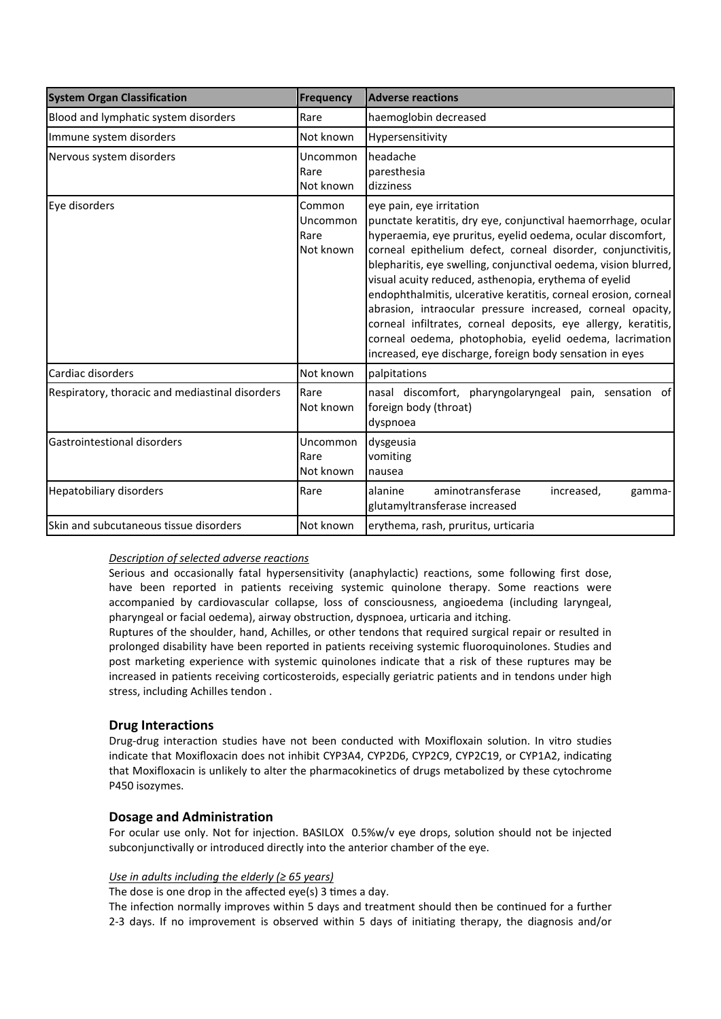| <b>System Organ Classification</b>              | <b>Frequency</b>                        | <b>Adverse reactions</b>                                                                                                                                                                                                                                                                                                                                                                                                                                                                                                                                                                                                                                                       |
|-------------------------------------------------|-----------------------------------------|--------------------------------------------------------------------------------------------------------------------------------------------------------------------------------------------------------------------------------------------------------------------------------------------------------------------------------------------------------------------------------------------------------------------------------------------------------------------------------------------------------------------------------------------------------------------------------------------------------------------------------------------------------------------------------|
| Blood and lymphatic system disorders            | Rare                                    | haemoglobin decreased                                                                                                                                                                                                                                                                                                                                                                                                                                                                                                                                                                                                                                                          |
| Immune system disorders                         | Not known                               | Hypersensitivity                                                                                                                                                                                                                                                                                                                                                                                                                                                                                                                                                                                                                                                               |
| Nervous system disorders                        | Uncommon<br>Rare<br>Not known           | headache<br>paresthesia<br>dizziness                                                                                                                                                                                                                                                                                                                                                                                                                                                                                                                                                                                                                                           |
| Eye disorders                                   | Common<br>Uncommon<br>Rare<br>Not known | eye pain, eye irritation<br>punctate keratitis, dry eye, conjunctival haemorrhage, ocular<br>hyperaemia, eye pruritus, eyelid oedema, ocular discomfort,<br>corneal epithelium defect, corneal disorder, conjunctivitis,<br>blepharitis, eye swelling, conjunctival oedema, vision blurred,<br>visual acuity reduced, asthenopia, erythema of eyelid<br>endophthalmitis, ulcerative keratitis, corneal erosion, corneal<br>abrasion, intraocular pressure increased, corneal opacity,<br>corneal infiltrates, corneal deposits, eye allergy, keratitis,<br>corneal oedema, photophobia, eyelid oedema, lacrimation<br>increased, eye discharge, foreign body sensation in eyes |
| Cardiac disorders                               | Not known                               | palpitations                                                                                                                                                                                                                                                                                                                                                                                                                                                                                                                                                                                                                                                                   |
| Respiratory, thoracic and mediastinal disorders | Rare<br>Not known                       | nasal discomfort, pharyngolaryngeal pain, sensation of<br>foreign body (throat)<br>dyspnoea                                                                                                                                                                                                                                                                                                                                                                                                                                                                                                                                                                                    |
| lGastrointestional disorders                    | Uncommon<br>Rare<br>Not known           | dysgeusia<br>vomiting<br>nausea                                                                                                                                                                                                                                                                                                                                                                                                                                                                                                                                                                                                                                                |
| <b>Hepatobiliary disorders</b>                  | Rare                                    | alanine<br>aminotransferase<br>increased,<br>gamma-<br>glutamyltransferase increased                                                                                                                                                                                                                                                                                                                                                                                                                                                                                                                                                                                           |
| Skin and subcutaneous tissue disorders          | Not known                               | erythema, rash, pruritus, urticaria                                                                                                                                                                                                                                                                                                                                                                                                                                                                                                                                                                                                                                            |

# *Description of selected adverse reactions*

Serious and occasionally fatal hypersensitivity (anaphylactic) reactions, some following first dose, have been reported in patients receiving systemic quinolone therapy. Some reactions were accompanied by cardiovascular collapse, loss of consciousness, angioedema (including laryngeal, pharyngeal or facial oedema), airway obstruction, dyspnoea, urticaria and itching.

Ruptures of the shoulder, hand, Achilles, or other tendons that required surgical repair or resulted in prolonged disability have been reported in patients receiving systemic fluoroquinolones. Studies and post marketing experience with systemic quinolones indicate that a risk of these ruptures may be increased in patients receiving corticosteroids, especially geriatric patients and in tendons under high stress, including Achilles tendon .

# **Drug Interactions**

Drug-drug interaction studies have not been conducted with Moxifloxain solution. In vitro studies indicate that Moxifloxacin does not inhibit CYP3A4, CYP2D6, CYP2C9, CYP2C19, or CYP1A2, indicating that Moxifloxacin is unlikely to alter the pharmacokinetics of drugs metabolized by these cytochrome P450 isozymes.

# **Dosage and Administration**

For ocular use only. Not for injection. BASILOX 0.5%w/v eye drops, solution should not be injected subconjunctivally or introduced directly into the anterior chamber of the eye.

## *Use in adults including the elderly (≥ 65 years)*

The dose is one drop in the affected eye(s) 3 times a day.

The infection normally improves within 5 days and treatment should then be continued for a further 2-3 days. If no improvement is observed within 5 days of initiating therapy, the diagnosis and/or